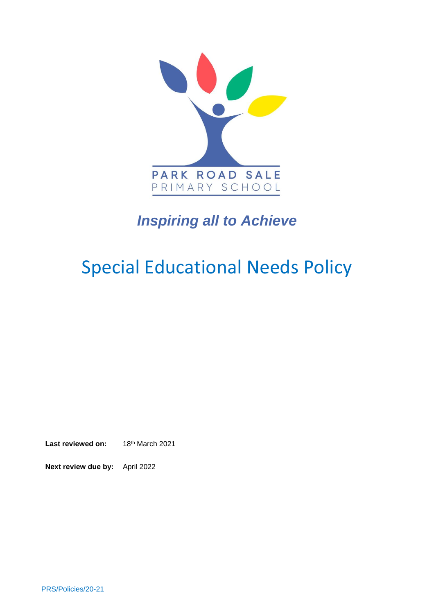

# *Inspiring all to Achieve*

# Special Educational Needs Policy

Last reviewed on: 18th March 2021

**Next review due by:** April 2022

PRS/Policies/20-21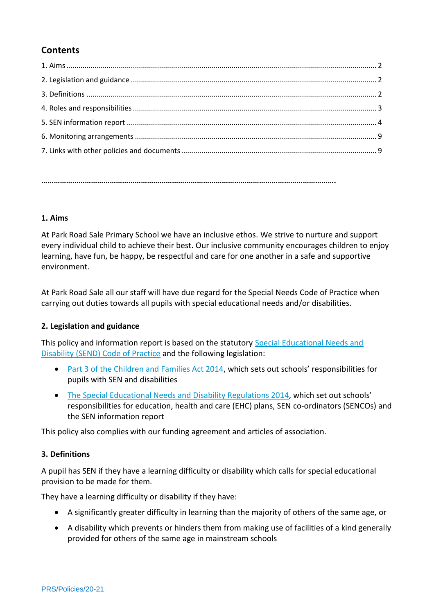# **Contents**

**…………………………………………………………………………………………………………………………….**

#### **1. Aims**

At Park Road Sale Primary School we have an inclusive ethos. We strive to nurture and support every individual child to achieve their best. Our inclusive community encourages children to enjoy learning, have fun, be happy, be respectful and care for one another in a safe and supportive environment.

At Park Road Sale all our staff will have due regard for the Special Needs Code of Practice when carrying out duties towards all pupils with special educational needs and/or disabilities.

#### **2. Legislation and guidance**

This policy and information report is based on the statutory [Special Educational Needs and](https://www.gov.uk/government/uploads/system/uploads/attachment_data/file/398815/SEND_Code_of_Practice_January_2015.pdf)  [Disability \(SEND\) Code of Practice](https://www.gov.uk/government/uploads/system/uploads/attachment_data/file/398815/SEND_Code_of_Practice_January_2015.pdf) and the following legislation:

- Part [3 of the Children and Families Act 2014](http://www.legislation.gov.uk/ukpga/2014/6/part/3), which sets out schools' responsibilities for pupils with SEN and disabilities
- [The Special Educational Needs and Disability Regulations 2014,](http://www.legislation.gov.uk/uksi/2014/1530/contents/made) which set out schools' responsibilities for education, health and care (EHC) plans, SEN co-ordinators (SENCOs) and the SEN information report

This policy also complies with our funding agreement and articles of association.

#### **3. Definitions**

A pupil has SEN if they have a learning difficulty or disability which calls for special educational provision to be made for them.

They have a learning difficulty or disability if they have:

- A significantly greater difficulty in learning than the majority of others of the same age, or
- A disability which prevents or hinders them from making use of facilities of a kind generally provided for others of the same age in mainstream schools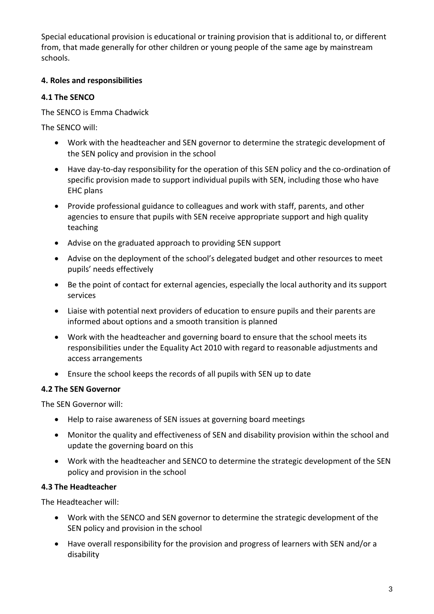Special educational provision is educational or training provision that is additional to, or different from, that made generally for other children or young people of the same age by mainstream schools.

### **4. Roles and responsibilities**

#### **4.1 The SENCO**

The SENCO is Emma Chadwick

The SENCO will:

- Work with the headteacher and SEN governor to determine the strategic development of the SEN policy and provision in the school
- Have day-to-day responsibility for the operation of this SEN policy and the co-ordination of specific provision made to support individual pupils with SEN, including those who have EHC plans
- Provide professional guidance to colleagues and work with staff, parents, and other agencies to ensure that pupils with SEN receive appropriate support and high quality teaching
- Advise on the graduated approach to providing SEN support
- Advise on the deployment of the school's delegated budget and other resources to meet pupils' needs effectively
- Be the point of contact for external agencies, especially the local authority and its support services
- Liaise with potential next providers of education to ensure pupils and their parents are informed about options and a smooth transition is planned
- Work with the headteacher and governing board to ensure that the school meets its responsibilities under the Equality Act 2010 with regard to reasonable adjustments and access arrangements
- Ensure the school keeps the records of all pupils with SEN up to date

#### **4.2 The SEN Governor**

The SEN Governor will:

- Help to raise awareness of SEN issues at governing board meetings
- Monitor the quality and effectiveness of SEN and disability provision within the school and update the governing board on this
- Work with the headteacher and SENCO to determine the strategic development of the SEN policy and provision in the school

#### **4.3 The Headteacher**

The Headteacher will:

- Work with the SENCO and SEN governor to determine the strategic development of the SEN policy and provision in the school
- Have overall responsibility for the provision and progress of learners with SEN and/or a disability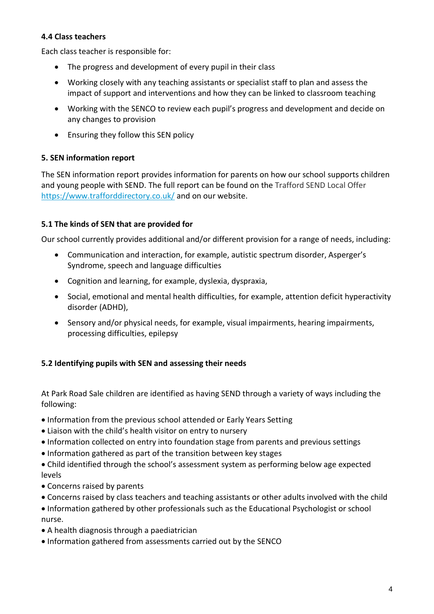#### **4.4 Class teachers**

Each class teacher is responsible for:

- The progress and development of every pupil in their class
- Working closely with any teaching assistants or specialist staff to plan and assess the impact of support and interventions and how they can be linked to classroom teaching
- Working with the SENCO to review each pupil's progress and development and decide on any changes to provision
- Ensuring they follow this SEN policy

#### **5. SEN information report**

The SEN information report provides information for parents on how our school supports children and young people with SEND. The full report can be found on the Trafford SEND Local Offer <https://www.trafforddirectory.co.uk/> and on our website.

# **5.1 The kinds of SEN that are provided for**

Our school currently provides additional and/or different provision for a range of needs, including:

- Communication and interaction, for example, autistic spectrum disorder, Asperger's Syndrome, speech and language difficulties
- Cognition and learning, for example, dyslexia, dyspraxia,
- Social, emotional and mental health difficulties, for example, attention deficit hyperactivity disorder (ADHD),
- Sensory and/or physical needs, for example, visual impairments, hearing impairments, processing difficulties, epilepsy

# **5.2 Identifying pupils with SEN and assessing their needs**

At Park Road Sale children are identified as having SEND through a variety of ways including the following:

- Information from the previous school attended or Early Years Setting
- Liaison with the child's health visitor on entry to nursery
- Information collected on entry into foundation stage from parents and previous settings
- Information gathered as part of the transition between key stages
- Child identified through the school's assessment system as performing below age expected levels
- Concerns raised by parents
- Concerns raised by class teachers and teaching assistants or other adults involved with the child

 Information gathered by other professionals such as the Educational Psychologist or school nurse.

- A health diagnosis through a paediatrician
- $\bullet$  Information gathered from assessments carried out by the SENCO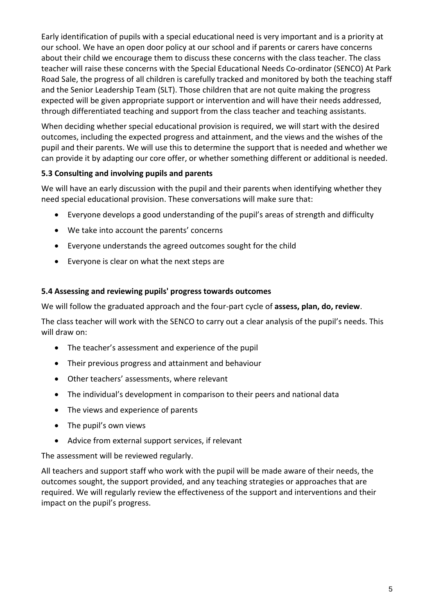Early identification of pupils with a special educational need is very important and is a priority at our school. We have an open door policy at our school and if parents or carers have concerns about their child we encourage them to discuss these concerns with the class teacher. The class teacher will raise these concerns with the Special Educational Needs Co-ordinator (SENCO) At Park Road Sale, the progress of all children is carefully tracked and monitored by both the teaching staff and the Senior Leadership Team (SLT). Those children that are not quite making the progress expected will be given appropriate support or intervention and will have their needs addressed, through differentiated teaching and support from the class teacher and teaching assistants.

When deciding whether special educational provision is required, we will start with the desired outcomes, including the expected progress and attainment, and the views and the wishes of the pupil and their parents. We will use this to determine the support that is needed and whether we can provide it by adapting our core offer, or whether something different or additional is needed.

# **5.3 Consulting and involving pupils and parents**

We will have an early discussion with the pupil and their parents when identifying whether they need special educational provision. These conversations will make sure that:

- Everyone develops a good understanding of the pupil's areas of strength and difficulty
- We take into account the parents' concerns
- Everyone understands the agreed outcomes sought for the child
- Everyone is clear on what the next steps are

#### **5.4 Assessing and reviewing pupils' progress towards outcomes**

We will follow the graduated approach and the four-part cycle of **assess, plan, do, review**.

The class teacher will work with the SENCO to carry out a clear analysis of the pupil's needs. This will draw on:

- The teacher's assessment and experience of the pupil
- Their previous progress and attainment and behaviour
- Other teachers' assessments, where relevant
- The individual's development in comparison to their peers and national data
- The views and experience of parents
- The pupil's own views
- Advice from external support services, if relevant

The assessment will be reviewed regularly.

All teachers and support staff who work with the pupil will be made aware of their needs, the outcomes sought, the support provided, and any teaching strategies or approaches that are required. We will regularly review the effectiveness of the support and interventions and their impact on the pupil's progress.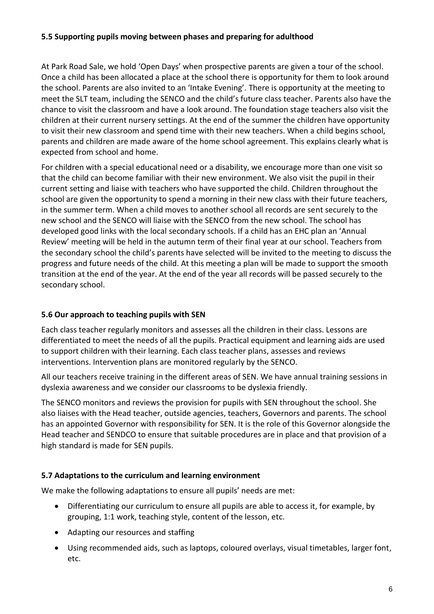#### **5.5 Supporting pupils moving between phases and preparing for adulthood**

At Park Road Sale, we hold 'Open Days' when prospective parents are given a tour of the school. Once a child has been allocated a place at the school there is opportunity for them to look around the school. Parents are also invited to an 'Intake Evening'. There is opportunity at the meeting to meet the SLT team, including the SENCO and the child's future class teacher. Parents also have the chance to visit the classroom and have a look around. The foundation stage teachers also visit the children at their current nursery settings. At the end of the summer the children have opportunity to visit their new classroom and spend time with their new teachers. When a child begins school, parents and children are made aware of the home school agreement. This explains clearly what is expected from school and home.

For children with a special educational need or a disability, we encourage more than one visit so that the child can become familiar with their new environment. We also visit the pupil in their current setting and liaise with teachers who have supported the child. Children throughout the school are given the opportunity to spend a morning in their new class with their future teachers, in the summer term. When a child moves to another school all records are sent securely to the new school and the SENCO will liaise with the SENCO from the new school. The school has developed good links with the local secondary schools. If a child has an EHC plan an 'Annual Review' meeting will be held in the autumn term of their final year at our school. Teachers from the secondary school the child's parents have selected will be invited to the meeting to discuss the progress and future needs of the child. At this meeting a plan will be made to support the smooth transition at the end of the year. At the end of the year all records will be passed securely to the secondary school.

# **5.6 Our approach to teaching pupils with SEN**

Each class teacher regularly monitors and assesses all the children in their class. Lessons are differentiated to meet the needs of all the pupils. Practical equipment and learning aids are used to support children with their learning. Each class teacher plans, assesses and reviews interventions. Intervention plans are monitored regularly by the SENCO.

All our teachers receive training in the different areas of SEN. We have annual training sessions in dyslexia awareness and we consider our classrooms to be dyslexia friendly.

The SENCO monitors and reviews the provision for pupils with SEN throughout the school. She also liaises with the Head teacher, outside agencies, teachers, Governors and parents. The school has an appointed Governor with responsibility for SEN. It is the role of this Governor alongside the Head teacher and SENDCO to ensure that suitable procedures are in place and that provision of a high standard is made for SEN pupils.

#### **5.7 Adaptations to the curriculum and learning environment**

We make the following adaptations to ensure all pupils' needs are met:

- Differentiating our curriculum to ensure all pupils are able to access it, for example, by grouping, 1:1 work, teaching style, content of the lesson, etc.
- Adapting our resources and staffing
- Using recommended aids, such as laptops, coloured overlays, visual timetables, larger font, etc.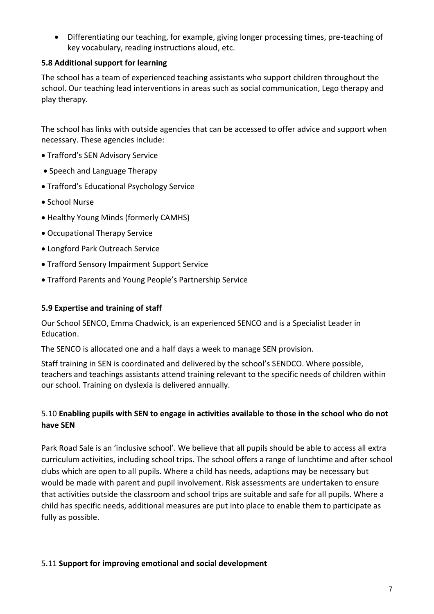Differentiating our teaching, for example, giving longer processing times, pre-teaching of key vocabulary, reading instructions aloud, etc.

#### **5.8 Additional support for learning**

The school has a team of experienced teaching assistants who support children throughout the school. Our teaching lead interventions in areas such as social communication, Lego therapy and play therapy.

The school has links with outside agencies that can be accessed to offer advice and support when necessary. These agencies include:

- Trafford's SEN Advisory Service
- Speech and Language Therapy
- Trafford's Educational Psychology Service
- School Nurse
- Healthy Young Minds (formerly CAMHS)
- Occupational Therapy Service
- Longford Park Outreach Service
- Trafford Sensory Impairment Support Service
- Trafford Parents and Young People's Partnership Service

#### **5.9 Expertise and training of staff**

Our School SENCO, Emma Chadwick, is an experienced SENCO and is a Specialist Leader in Education.

The SENCO is allocated one and a half days a week to manage SEN provision.

Staff training in SEN is coordinated and delivered by the school's SENDCO. Where possible, teachers and teachings assistants attend training relevant to the specific needs of children within our school. Training on dyslexia is delivered annually.

#### 5.10 **Enabling pupils with SEN to engage in activities available to those in the school who do not have SEN**

Park Road Sale is an 'inclusive school'. We believe that all pupils should be able to access all extra curriculum activities, including school trips. The school offers a range of lunchtime and after school clubs which are open to all pupils. Where a child has needs, adaptions may be necessary but would be made with parent and pupil involvement. Risk assessments are undertaken to ensure that activities outside the classroom and school trips are suitable and safe for all pupils. Where a child has specific needs, additional measures are put into place to enable them to participate as fully as possible.

#### 5.11 **Support for improving emotional and social development**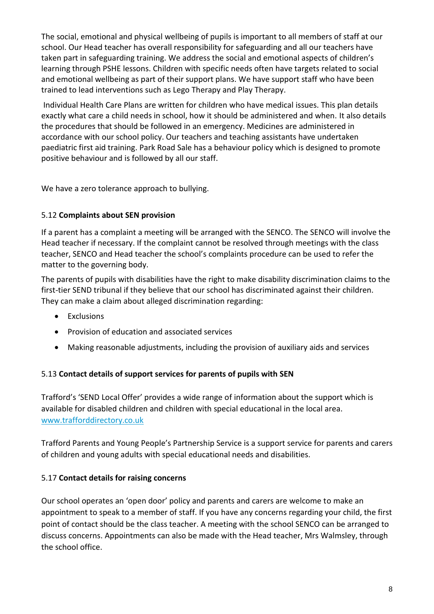The social, emotional and physical wellbeing of pupils is important to all members of staff at our school. Our Head teacher has overall responsibility for safeguarding and all our teachers have taken part in safeguarding training. We address the social and emotional aspects of children's learning through PSHE lessons. Children with specific needs often have targets related to social and emotional wellbeing as part of their support plans. We have support staff who have been trained to lead interventions such as Lego Therapy and Play Therapy.

Individual Health Care Plans are written for children who have medical issues. This plan details exactly what care a child needs in school, how it should be administered and when. It also details the procedures that should be followed in an emergency. Medicines are administered in accordance with our school policy. Our teachers and teaching assistants have undertaken paediatric first aid training. Park Road Sale has a behaviour policy which is designed to promote positive behaviour and is followed by all our staff.

We have a zero tolerance approach to bullying.

#### 5.12 **Complaints about SEN provision**

If a parent has a complaint a meeting will be arranged with the SENCO. The SENCO will involve the Head teacher if necessary. If the complaint cannot be resolved through meetings with the class teacher, SENCO and Head teacher the school's complaints procedure can be used to refer the matter to the governing body.

The parents of pupils with disabilities have the right to make disability discrimination claims to the first-tier SEND tribunal if they believe that our school has discriminated against their children. They can make a claim about alleged discrimination regarding:

- Exclusions
- Provision of education and associated services
- Making reasonable adjustments, including the provision of auxiliary aids and services

#### 5.13 **Contact details of support services for parents of pupils with SEN**

Trafford's 'SEND Local Offer' provides a wide range of information about the support which is available for disabled children and children with special educational in the local area. [www.trafforddirectory.co.uk](http://www.trafforddirectory.co.uk/)

Trafford Parents and Young People's Partnership Service is a support service for parents and carers of children and young adults with special educational needs and disabilities.

#### 5.17 **Contact details for raising concerns**

Our school operates an 'open door' policy and parents and carers are welcome to make an appointment to speak to a member of staff. If you have any concerns regarding your child, the first point of contact should be the class teacher. A meeting with the school SENCO can be arranged to discuss concerns. Appointments can also be made with the Head teacher, Mrs Walmsley, through the school office.